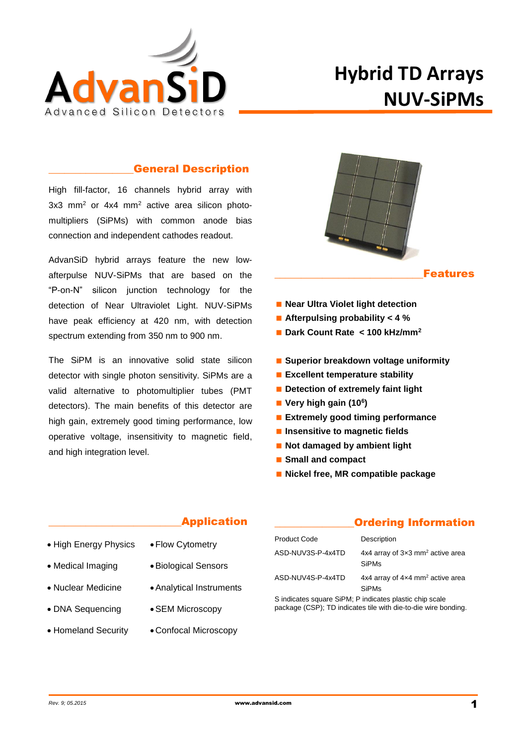

# **Hybrid TD Arrays NUV-SiPMs**

#### \_\_\_\_\_\_\_\_\_\_\_\_\_\_\_\_General Description

High fill-factor, 16 channels hybrid array with 3x3 mm<sup>2</sup> or 4x4 mm<sup>2</sup> active area silicon photomultipliers (SiPMs) with common anode bias connection and independent cathodes readout.

AdvanSiD hybrid arrays feature the new lowafterpulse NUV-SiPMs that are based on the "P-on-N" silicon junction technology for the detection of Near Ultraviolet Light. NUV-SiPMs have peak efficiency at 420 nm, with detection spectrum extending from 350 nm to 900 nm.

The SiPM is an innovative solid state silicon detector with single photon sensitivity. SiPMs are a valid alternative to photomultiplier tubes (PMT detectors). The main benefits of this detector are high gain, extremely good timing performance, low operative voltage, insensitivity to magnetic field, and high integration level.



#### **Features**

- **Near Ultra Violet light detection**
- **Afterpulsing probability < 4 %**
- **Dark Count Rate < 100 kHz/mm<sup>2</sup>**
- **Superior breakdown voltage uniformity**
- **Excellent temperature stability**
- **Detection of extremely faint light**
- **Very high gain (10<sup>6</sup> )**
- **Extremely good timing performance**
- $\blacksquare$  Insensitive to magnetic fields
- **Not damaged by ambient light**
- **Small and compact**
- **Nickel free, MR compatible package**

#### \_\_\_\_\_\_\_\_\_\_\_\_\_\_\_\_\_\_\_\_\_\_\_\_\_Application

- High Energy Physics
- Flow Cytometry
- Medical Imaging
- Nuclear Medicine
- DNA Sequencing
- Homeland Security
- Biological Sensors
- Analytical Instruments
	- SEM Microscopy
	- Confocal Microscopy

#### **Ordering Information**

| <b>Product Code</b> | Description                                                         |
|---------------------|---------------------------------------------------------------------|
| ASD-NUV3S-P-4x4TD   | 4x4 array of $3\times3$ mm <sup>2</sup> active area<br><b>SiPMs</b> |
| ASD-NUV4S-P-4x4TD   | 4x4 array of 4x4 mm <sup>2</sup> active area<br>SiPMs               |

S indicates square SiPM; P indicates plastic chip scale package (CSP); TD indicates tile with die-to-die wire bonding.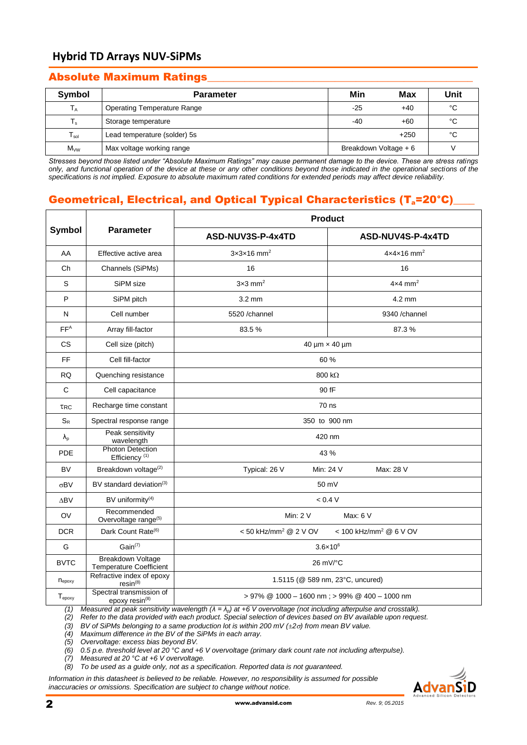# **Hybrid TD Arrays NUV-SiPMs**

## Absolute Maximum Ratings\_\_\_\_\_\_\_\_\_\_\_\_\_\_\_\_\_\_\_\_\_\_\_\_\_\_\_\_\_\_\_\_\_\_\_\_\_\_\_\_\_\_\_\_\_\_\_\_\_\_

| Symbol         | <b>Parameter</b>                   | Min                   | Max    | Unit |
|----------------|------------------------------------|-----------------------|--------|------|
| $T_A$          | <b>Operating Temperature Range</b> | $-25$                 | $+40$  | °C   |
| $T_{\rm s}$    | Storage temperature                | -40                   | $+60$  | °C   |
| $T_{sol}$      | Lead temperature (solder) 5s       |                       | $+250$ | °С   |
| $M_{\vee\vee}$ | Max voltage working range          | Breakdown Voltage + 6 |        |      |

*Stresses beyond those listed under "Absolute Maximum Ratings" may cause permanent damage to the device. These are stress ratings only, and functional operation of the device at these or any other conditions beyond those indicated in the operational sections of the specifications is not implied. Exposure to absolute maximum rated conditions for extended periods may affect device reliability.*

# Geometrical, Electrical, and Optical Typical Characteristics (T<sub>a</sub>=20<sup>°</sup>C)

|                                   |                                                                                                                               | <b>Product</b>                                |                                        |  |  |
|-----------------------------------|-------------------------------------------------------------------------------------------------------------------------------|-----------------------------------------------|----------------------------------------|--|--|
| <b>Symbol</b><br><b>Parameter</b> |                                                                                                                               | ASD-NUV3S-P-4x4TD                             | ASD-NUV4S-P-4x4TD                      |  |  |
| AA                                | Effective active area                                                                                                         | $3x3x16$ mm <sup>2</sup>                      | $4 \times 4 \times 16$ mm <sup>2</sup> |  |  |
| Ch                                | Channels (SiPMs)                                                                                                              | 16                                            | 16                                     |  |  |
| S                                 | SiPM size                                                                                                                     | $3\times3$ mm <sup>2</sup>                    | $4\times4$ mm <sup>2</sup>             |  |  |
| P                                 | SiPM pitch                                                                                                                    | $3.2 \text{ mm}$                              | 4.2 mm                                 |  |  |
| N                                 | Cell number                                                                                                                   | 5520 /channel                                 | 9340 /channel                          |  |  |
| FF <sup>A</sup>                   | Array fill-factor                                                                                                             | 83.5%                                         | 87.3%                                  |  |  |
| <b>CS</b>                         | Cell size (pitch)                                                                                                             |                                               | 40 µm × 40 µm                          |  |  |
| FF                                | Cell fill-factor                                                                                                              |                                               | 60 %                                   |  |  |
| <b>RQ</b>                         | Quenching resistance                                                                                                          | 800 $k\Omega$                                 |                                        |  |  |
| $\mathsf{C}$                      | Cell capacitance                                                                                                              | 90 fF                                         |                                        |  |  |
| <b>TRC</b>                        | Recharge time constant                                                                                                        | 70 ns                                         |                                        |  |  |
| $S_{R}$                           | Spectral response range                                                                                                       | 350 to 900 nm                                 |                                        |  |  |
| $\lambda_{p}$                     | Peak sensitivity<br>wavelength                                                                                                | 420 nm                                        |                                        |  |  |
| PDE                               | <b>Photon Detection</b><br>Efficiency <sup>(1)</sup>                                                                          | 43 %                                          |                                        |  |  |
| <b>BV</b>                         | Breakdown voltage <sup>(2)</sup>                                                                                              | Typical: 26 V                                 | Min: 24 V<br>Max: 28 V                 |  |  |
| $\sigma$ BV                       | BV standard deviation <sup>(3)</sup>                                                                                          |                                               | 50 mV                                  |  |  |
| $\Delta$ BV                       | BV uniformity <sup>(4)</sup>                                                                                                  |                                               | < 0.4 V                                |  |  |
| OV                                | Recommended<br>Overvoltage range <sup>(5)</sup>                                                                               | Max: 6 V<br>Min: $2V$                         |                                        |  |  |
| <b>DCR</b>                        | Dark Count Rate <sup>(6)</sup>                                                                                                | < 50 kHz/mm <sup>2</sup> @ 2 V OV             | < 100 kHz/mm <sup>2</sup> @ 6 V OV     |  |  |
| G                                 | $Gain^{(7)}$                                                                                                                  |                                               | $3.6 \times 10^6$                      |  |  |
| <b>BVTC</b>                       | <b>Breakdown Voltage</b><br><b>Temperature Coefficient</b>                                                                    | 26 mV/°C                                      |                                        |  |  |
| $n_{\text{epoxy}}$                | Refractive index of epoxy<br>$resin^{(8)}$                                                                                    | 1.5115 (@ 589 nm, 23°C, uncured)              |                                        |  |  |
| $T_{epoxy}$                       | Spectral transmission of<br>epoxy resin <sup>(8)</sup>                                                                        | > 97% @ 1000 - 1600 nm; > 99% @ 400 - 1000 nm |                                        |  |  |
| (1)                               | Measured at peak sensitivity wavelength $(\lambda = \lambda_p)$ at +6 V overvoltage (not including afterpulse and crosstalk). |                                               |                                        |  |  |

*(2) Refer to the data provided with each product. Special selection of devices based on BV available upon request.*

*(3) BV of SiPMs belonging to a same production lot is within 200 mV (±2) from mean BV value.*

*(4) Maximum difference in the BV of the SiPMs in each array.*

*(5) Overvoltage: excess bias beyond BV.*

*(6) 0.5 p.e. threshold level at 20 °C and +6 V overvoltage (primary dark count rate not including afterpulse).*

*(7) Measured at 20 °C at +6 V overvoltage.*

*(8) To be used as a guide only, not as a specification. Reported data is not guaranteed.*

*Information in this datasheet is believed to be reliable. However, no responsibility is assumed for possible inaccuracies or omissions. Specification are subject to change without notice.*

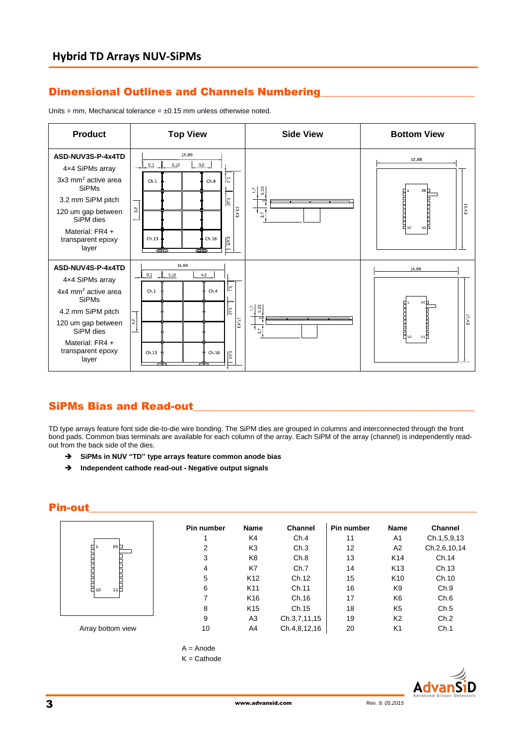# Dimensional Outlines and Channels Numbering

Units = mm, Mechanical tolerance =  $\pm 0.15$  mm unless otherwise noted.



#### SiPMs Bias and Read-out

TD type arrays feature font side die-to-die wire bonding. The SiPM dies are grouped in columns and interconnected through the front bond pads. Common bias terminals are available for each column of the array. Each SiPM of the array (channel) is independently readout from the back side of the dies.

- **SiPMs in NUV "TD" type arrays feature common anode bias**
- **Independent cathode read-out - Negative output signals**

## Pin-out\_\_\_\_\_\_\_\_\_\_\_\_\_\_\_\_\_\_\_\_\_\_\_\_\_\_\_\_\_\_\_\_\_\_\_\_\_\_\_\_\_\_\_\_\_\_\_\_\_\_\_\_\_\_\_\_\_\_\_\_\_\_\_\_\_\_\_\_\_\_\_\_\_

|                   | Pin number | Name            | <b>Channel</b> | <b>Pin number</b> | <b>Name</b>     | <b>Channel</b> |
|-------------------|------------|-----------------|----------------|-------------------|-----------------|----------------|
|                   |            | K4              | Ch.4           | 11                | A1              | Ch.1,5,9,13    |
| 20 <sub>0</sub>   | 2          | K <sub>3</sub>  | Ch.3           | 12                | A <sub>2</sub>  | Ch.2,6,10,14   |
| i<br>Huni<br>H    | 3          | K8              | Ch.8           | 13                | K <sub>14</sub> | Ch.14          |
|                   | 4          | K7              | Ch.7           | 14                | K <sub>13</sub> | Ch.13          |
|                   | 5          | K <sub>12</sub> | Ch.12          | 15                | K <sub>10</sub> | Ch.10          |
| H<br>H.,<br>ыH    | 6          | K11             | Ch.11          | 16                | K9              | Ch.9           |
|                   | 7          | K <sub>16</sub> | Ch.16          | 17                | K <sub>6</sub>  | Ch.6           |
|                   | 8          | K <sub>15</sub> | Ch.15          | 18                | K <sub>5</sub>  | Ch.5           |
|                   | 9          | A <sub>3</sub>  | Ch.3,7,11,15   | 19                | K <sub>2</sub>  | Ch.2           |
| Array bottom view | 10         | A4              | Ch.4,8,12,16   | 20                | K1              | Ch.1           |



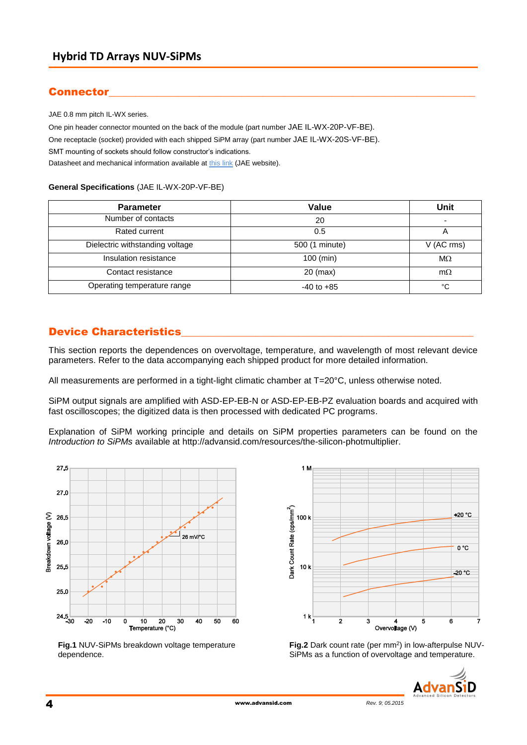# Connector

JAE 0.8 mm pitch IL-WX series.

One pin header connector mounted on the back of the module (part number JAE IL-WX-20P-VF-BE). One receptacle (socket) provided with each shipped SiPM array (part number JAE IL-WX-20S-VF-BE). SMT mounting of sockets should follow constructor's indications. Datasheet and mechanical information available a[t this link](http://jae-connector.com/en/product_en.cfm?l_code=EN&series_code=IL-WX&product_number=IL-WX-16S-VF-BE) (JAE website).

#### **General Specifications** (JAE IL-WX-20P-VF-BE)

| <b>Parameter</b>                | Value          | <b>Unit</b> |
|---------------------------------|----------------|-------------|
| Number of contacts              | 20             | ۰           |
| Rated current                   | 0.5            |             |
| Dielectric withstanding voltage | 500 (1 minute) | V (AC rms)  |
| Insulation resistance           | $100$ (min)    | $M\Omega$   |
| Contact resistance              | $20$ (max)     | $m\Omega$   |
| Operating temperature range     | $-40$ to $+85$ | °C          |

## Device Characteristics

This section reports the dependences on overvoltage, temperature, and wavelength of most relevant device parameters. Refer to the data accompanying each shipped product for more detailed information.

All measurements are performed in a tight-light climatic chamber at T=20°C, unless otherwise noted.

SiPM output signals are amplified with ASD-EP-EB-N or ASD-EP-EB-PZ evaluation boards and acquired with fast oscilloscopes; the digitized data is then processed with dedicated PC programs.

Explanation of SiPM working principle and details on SiPM properties parameters can be found on the *[Introduction to SiPMs](http://advansid.com/uploads/up_89_1392130270.pdf)* available at [http://advansid.com/resources/the-silicon-photmultiplier.](http://advansid.com/resources/the-silicon-photmultiplier)



**Fig.1** NUV-SiPMs breakdown voltage temperature dependence.